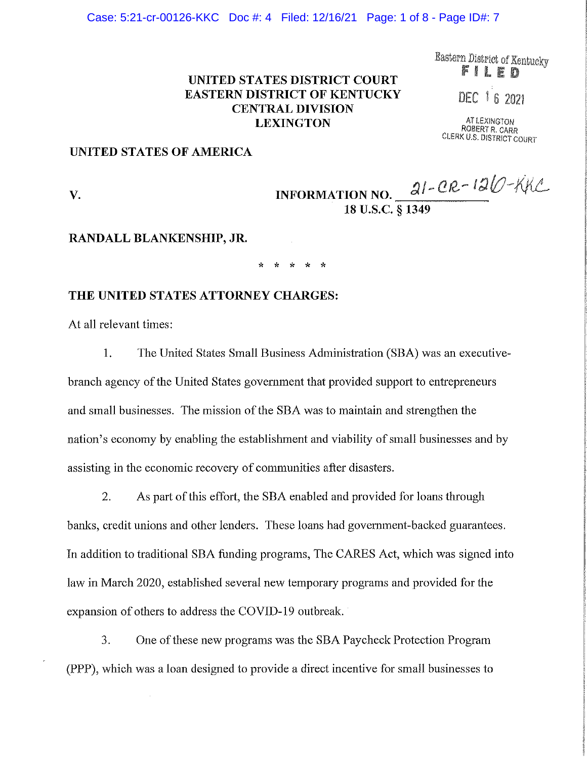Case: 5:21-cr-00126-KKC Doc #: 4 Filed: 12/16/21 Page: 1 of 8 - Page ID#: 7

**UNITED STATES DISTRICT COURT EASTERN DISTRICT OF KENTUCKY CENTRAL DIVISION LEXINGTON** 

Eastern District of Kentucky FILE

DEC 16 2021

ATlEXINGTON ROBERT R. CARR CLERK U.S. DISTRICT COURT

## **UNITED STATES OF AMERICA**

# **V. INFORMATION NO.**  $\frac{2l - CR - 1}{l}$ **18 u.s.c. § 1349**

#### **RANDALL BLANKENSHIP, JR.**

\* \* \* \* \*

## **THE UNITED STATES ATTORNEY CHARGES:**

At all relevant times:

1. The United States Small Business Administration (SBA) was an executivebranch agency of the United States government that provided support to entrepreneurs and small businesses. The mission of the SBA was to maintain and strengthen the nation's economy by enabling the establislnnent and viability of small businesses and by assisting in the economic recovery of communities after disasters.

2. As part of this effort, the SBA enabled and provided for loans through banks, credit unions and other lenders. These loans had government-backed guarantees. In addition to traditional SBA funding programs, The CARES Act, which was signed into law in March 2020, established several new temporary programs and provided for the expansion of others to address the COVID-19 outbreak.

3. One of these new programs was the SBA Paycheck Protection Program (PPP), which was a loan designed to provide a direct incentive for small businesses to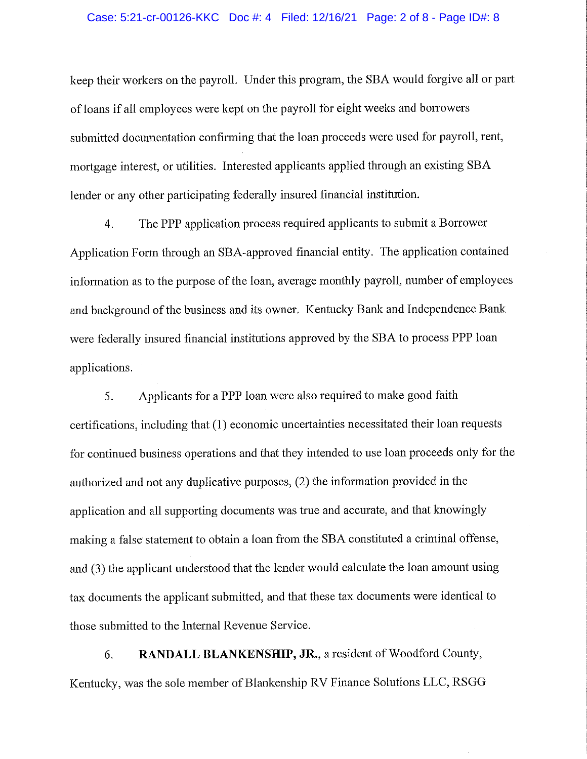#### Case: 5:21-cr-00126-KKC Doc #: 4 Filed: 12/16/21 Page: 2 of 8 - Page ID#: 8

keep their workers on the payroll. Under this program, the SBA would forgive all or part of loans if all employees were kept on the payroll for eight weeks and borrowers submitted documentation confirming that the loan proceeds were used for payroll, rent, mortgage interest, or utilities. Interested applicants applied through an existing SBA lender or any other participating federally insured financial institution.

4. The PPP application process required applicants to submit a Borrower Application Form through an SBA-approved financial entity. The application contained information as to the purpose of the loan, average monthly payroll, number of employees and background of the business and its owner. Kentucky Bank and Independence Bank were federally insured financial institutions approved by the SBA to process PPP loan applications.

5. Applicants for a PPP loan were also required to make good faith certifications, including that (1) economic uncertainties necessitated their loan requests for continued business operations and that they intended to use loan proceeds only for the authorized and not any duplicative purposes, (2) the information provided in the application and all supporting documents was true and accurate, and that knowingly making a false statement to obtain a loan from the SBA constituted a criminal offense, and (3) the applicant understood that the lender would calculate the loan amount using tax documents the applicant submitted, and that these tax documents were identical to those submitted to the Internal Revenue Service.

6. **RANDALL BLANKENSHIP, JR.,** a resident of Woodford County, Kentucky, was the sole member of Blankenship RV Finance Solutions LLC, RSGG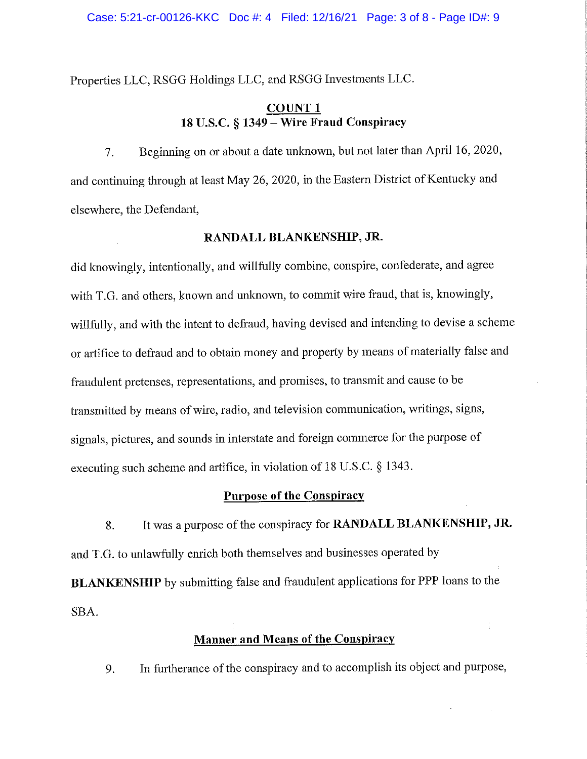Properties LLC, RSGG Holdings LLC, and RSGG Investments LLC.

# **COUNTl 18 U.S.C. § 1349 - Wire Fraud Conspiracy**

7. Beginning on or about a date unknown, but not later than April 16, 2020, and continuing through at least May 26, 2020, in the Eastern District of Kentucky and elsewhere, the Defendant,

## **RANDALL BLANKENSHIP, JR.**

did knowingly, intentionally, and willfully combine, conspire, confederate, and agree with T.G. and others, known and unknown, to commit wire fraud, that is, knowingly, willfully, and with the intent to defraud, having devised and intending to devise a scheme or artifice to defraud and to obtain money and property by means of materially false and fraudulent pretenses, representations, and promises, to transmit and cause to be transmitted by means of wire, radio, and television communication, writings, signs, signals, pictures, and sounds in interstate and foreign commerce for the purpose of executing such scheme and artifice, in violation of 18 U.S.C. § 1343.

#### **Purpose of the Conspiracy**

8. It was a purpose of the conspiracy for **RANDALL BLANKENSHIP, JR.**  and T.G. to unlawfully enrich both themselves and businesses operated by **BLANKENSHIP** by submitting false and fraudulent applications for PPP loans to the SBA.

## **Manner and Means of the Conspiracy**

9. In furtherance of the conspiracy and to accomplish its object and purpose,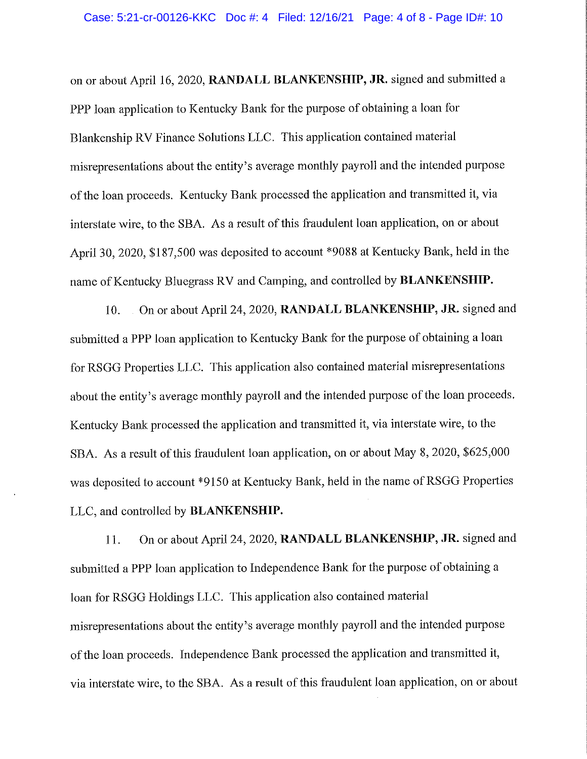on or about April 16, 2020, **RANDALL BLANKENSHIP, JR.** signed and submitted a PPP loan application to Kentucky Bank for the purpose of obtaining a loan for Blankenship RV Finance Solutions LLC. This application contained material misrepresentations about the entity's average monthly payroll and the intended purpose of the loan proceeds. Kentucky Bank processed the application and transmitted it, via interstate wire, to the SBA. As a result of this fraudulent loan application, on or about April 30, 2020, \$187,500 was deposited to account \*9088 at Kentucky Bank, held in the name of Kentucky Bluegrass RV and Camping, and controlled by **BLANKENSHIP.** 

10. On or about April 24, 2020, **RANDALL BLANKENSHIP, JR.** signed and submitted a PPP loan application to Kentucky Bank for the purpose of obtaining a loan for RSGG Properties LLC. This application also contained material misrepresentations about the entity's average monthly payroll and the intended purpose of the loan proceeds. Kentucky Bank processed the application and transmitted it, via interstate wire, to the SBA. As a result of this fraudulent loan application, on or about May 8, 2020, \$625,000 was deposited to account \*9150 at Kentucky Bank, held in the name of RSGG Properties LLC, and controlled by **BLANKENSHIP.** 

11. On or about April 24, 2020, **RANDALL BLANKENSHIP, JR.** signed and submitted a PPP loan application to Independence Bank for the purpose of obtaining a loan for RSGG Holdings LLC. This application also contained material misrepresentations about the entity's average monthly payroll and the intended purpose of the loan proceeds. Independence Bank processed the application and transmitted it, via interstate wire, to the SBA. As a result of this fraudulent loan application, on or about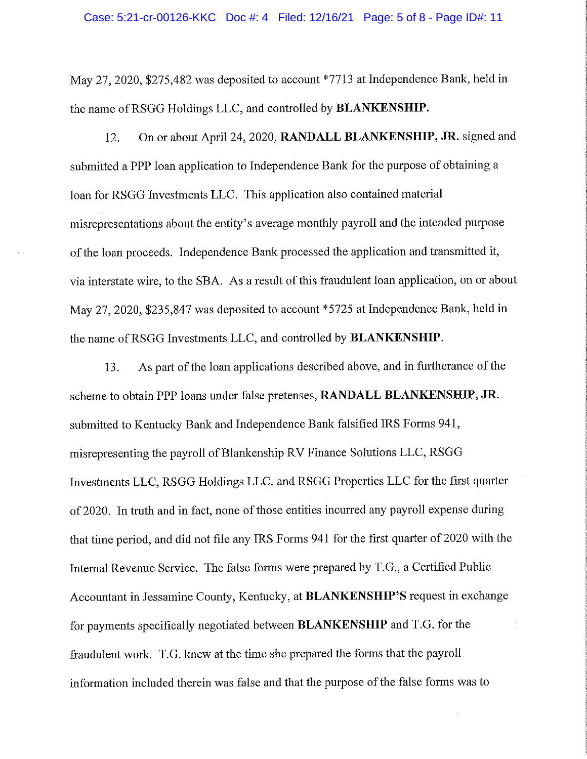May 27, 2020, \$275,482 was deposited to account \*7713 at Independence Bank, held in the name ofRSGG Holdings LLC, and controlled by **BLANKENSHIP.** 

12. On or about April 24, 2020, **RANDALL BLANKENSHIP, JR.** signed and submitted a PPP loan application to Independence Bank for the purpose of obtaining a loan for RSGG Investments LLC. This application also contained material misrepresentations about the entity's average monthly payroll and the intended purpose of the loan proceeds. Independence Bank processed the application and transmitted it, via interstate wire, to the SBA. As a result of this fraudulent loan application, on or about May 27, 2020, \$235,847 was deposited to account \*5725 at Independence Bank, held in the name ofRSGG Investments LLC, and controlled by **BLANKENSHIP.** 

13. As part of the loan applications described above, and in furtherance of the scheme to obtain PPP loans under false pretenses, **RANDALL BLANKENSHIP, JR.**  submitted to Kentucky Bank and Independence Bank falsified IRS Forms 941, misrepresenting the payroll of Blankenship RV Finance Solutions LLC, RSGG Investments LLC, RSGG Holdings LLC, and RSGG Properties LLC for the first quarter of 2020. In truth and in fact, none of those entities incurred any payroll expense during that time period, and did not file any IRS Forms 941 for the first quarter of 2020 with the Internal Revenue Service. The false fonns were prepared by T.G., a Certified Public Accountant in Jessamine County, Kentucky, at **BLANKENSHIP'S** request in exchange for payments specifically negotiated between **BLANKENSHIP** and T.G. for the fraudulent work. T.G. knew at the time she prepared the forms that the payroll information included therein was false and that the purpose of the false forms was to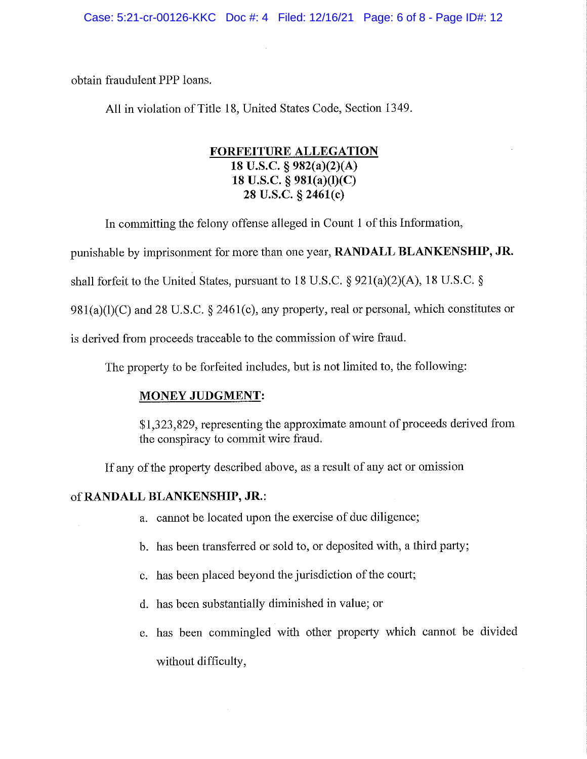obtain fraudulent PPP loans.

All in violation of Title 18, United States Code, Section 1349.

# **FORFEITURE ALLEGATION 18 U.S.C. § 982(a)(2)(A) 18 U.S.C. § 981(a)(l)(C) 28 U.S.C. § 2461(c)**

In committing the felony offense alleged in Count I of this Information,

punishable by imprisonment for more than one year, **RANDALL BLANKENSHIP, JR.** 

shall forfeit to the United States, pursuant to 18 U.S.C. § 921(a)(2)(A), 18 U.S.C. §

 $981(a)(1)(C)$  and 28 U.S.C. § 2461(c), any property, real or personal, which constitutes or

is derived from proceeds traceable to the commission of wire fraud.

The property to be forfeited includes, but is not limited to, the following:

# **MONEY JUDGMENT:**

\$1,323,829, representing the approximate amount of proceeds derived from the conspiracy to commit wire fraud.

If any of the property described above, as a result of any act or omission

## of **RANDALL BLANKENSHIP, JR.:**

- a. cannot be located upon the exercise of due diligence;
- b. has been transferred or sold to, or deposited with, a third party;
- c. has been placed beyond the jurisdiction of the court;
- d. has been substantially diminished in value; or
- e. has been commingled with other property which cannot be divided without difficulty,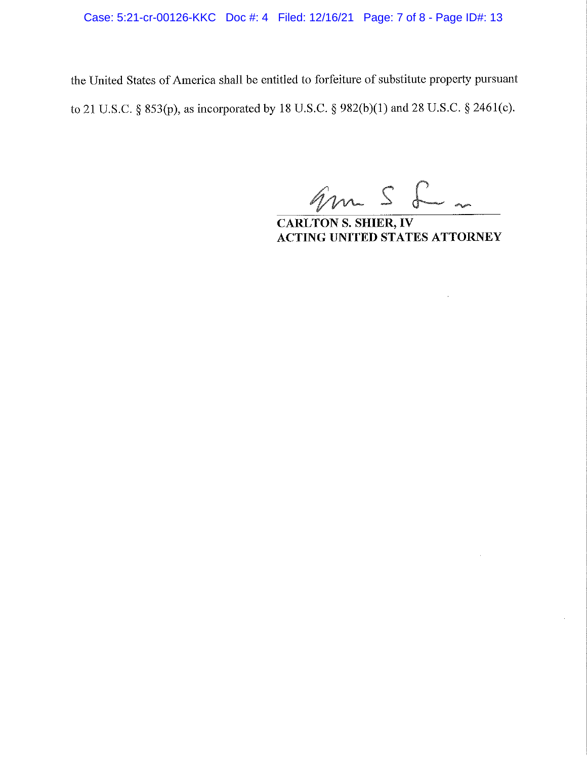Case: 5:21-cr-00126-KKC Doc #: 4 Filed: 12/16/21 Page: 7 of 8 - Page ID#: 13

the United States of America shall be entitled to forfeiture of substitute property pursuant to 21 U.S.C. § 853(p), as incorporated by 18 U.S.C. § 982(b)(l) and 28 U.S.C. § 2461(c).

gm S L ~

**CARL TON S. SHIER, IV ACTING UNITED STATES ATTORNEY**